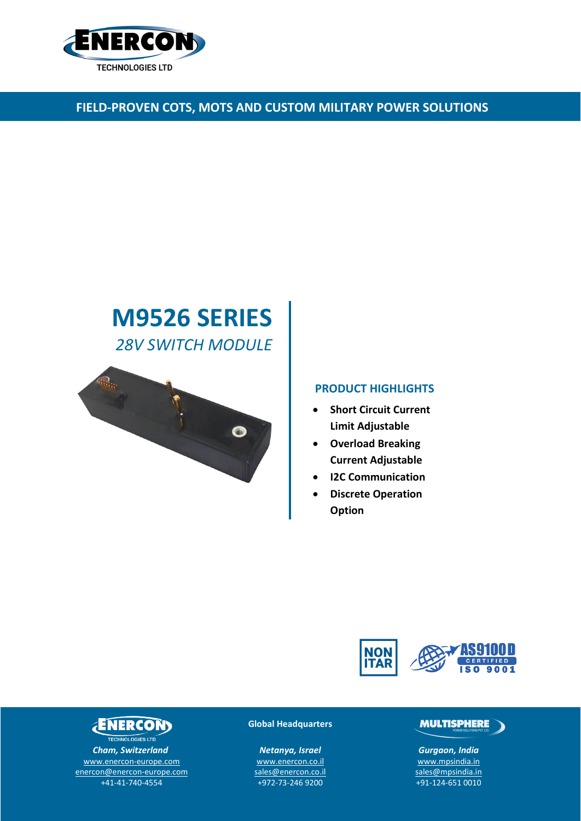

# **FIELD-PROVEN COTS, MOTS AND CUSTOM MILITARY POWER SOLUTIONS**

# **M9526 SERIES** *28V SWITCH MODULE*



### **PRODUCT HIGHLIGHTS**

- **Short Circuit Current Limit Adjustable**
- **Overload Breaking Current Adjustable**
- **I2C Communication**
- **Discrete Operation Option**



# **ENERCONS**

TECHNOLOGIES LTD *Cham, Switzerland* [www.enercon-europe.com](http://www.enercon-europe.com/) [enercon@enercon-europe.com](mailto:enercon@enercon-europe.com) +41-41-740-4554

#### **Global Headquarters**

*Netanya, Israel* [www.enercon.co.il](http://www.enercon.co.il/) [sales@enercon.co.il](mailto:sales@enercon.co.il) +972-73-246 9200

## **MULTISPHERE**

*Gurgaon, India* [www.mpsindia.in](http://www.mpsindia.in/) [sales@mpsindia.in](mailto:sales@mpsindia.in) +91-124-651 0010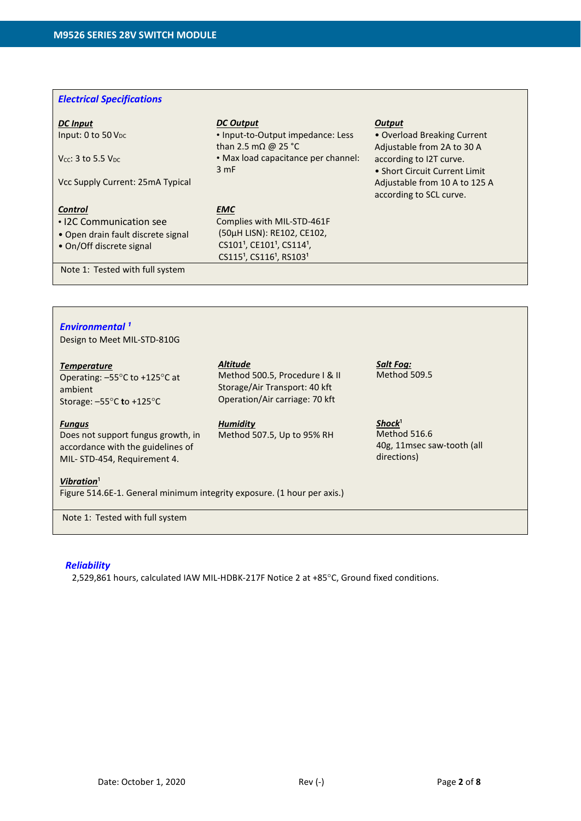#### *Electrical Specifications*

#### *DC Input* Input: 0 to 50  $V_{DC}$

 $V_{CC}$ : 3 to 5.5  $V_{DC}$ 

Vcc Supply Current: 25mA Typical

#### *Control*

- I2C Communication see
- Open drain fault discrete signal
- On/Off discrete signal

Note 1: Tested with full system

# • Input-to-Output impedance: Less

*EMC*

*DC Output*

than 2.5 mΩ @ 25 °C • Max load capacitance per channel: 3 mF

Complies with MIL-STD-461F (50µH LISN): RE102, CE102, CS101<sup>1</sup>, CE101<sup>1</sup>, CS114<sup>1</sup>, CS115<sup>1</sup>, CS116<sup>1</sup>, RS103<sup>1</sup>

#### *Output*

• Overload Breaking Current Adjustable from 2A to 30 A according to I2T curve. • Short Circuit Current Limit Adjustable from 10 A to 125 A according to SCL curve.

*Environmental ¹* Design to Meet MIL-STD-810G

#### *Temperature*

Operating: –55°C to +125°C at ambient Storage: –55°C **t**o +125°C

#### *Fungus*

Does not support fungus growth, in accordance with the guidelines of MIL- STD-454, Requirement 4.

#### *Altitude*

Method 500.5, Procedure I & II Storage/Air Transport: 40 kft Operation/Air carriage: 70 kft

# *Humidity*

Method 507.5, Up to 95% RH

*Salt Fog:* Method 509.5

Shock<sup>1</sup> Method 516.6 40g, 11msec saw-tooth (all directions)

#### **Vibration**<sup>1</sup>

Figure 514.6E-1. General minimum integrity exposure. (1 hour per axis.)

Note 1: Tested with full system

#### *Reliability*

2,529,861 hours, calculated IAW MIL-HDBK-217F Notice 2 at +85°C, Ground fixed conditions.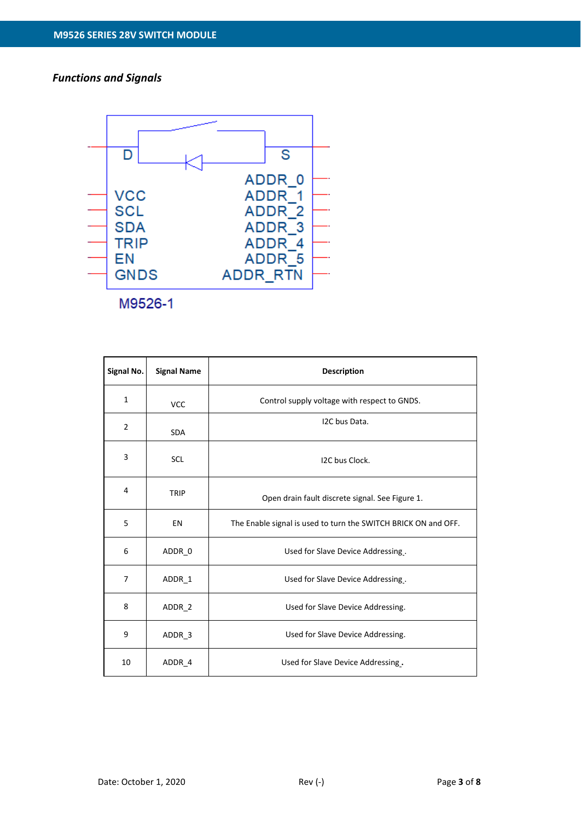## *Functions and Signals*



M9526-1

| Signal No.     | <b>Signal Name</b> | <b>Description</b>                                             |  |  |  |  |
|----------------|--------------------|----------------------------------------------------------------|--|--|--|--|
| $\mathbf{1}$   | <b>VCC</b>         | Control supply voltage with respect to GNDS.                   |  |  |  |  |
| $\overline{2}$ | <b>SDA</b>         | I2C bus Data.                                                  |  |  |  |  |
| 3              | <b>SCL</b>         | I2C bus Clock.                                                 |  |  |  |  |
| 4              | TRIP               | Open drain fault discrete signal. See Figure 1.                |  |  |  |  |
| 5              | EN                 | The Enable signal is used to turn the SWITCH BRICK ON and OFF. |  |  |  |  |
| 6              | ADDR 0             | Used for Slave Device Addressing.                              |  |  |  |  |
| 7              | ADDR <sub>1</sub>  | Used for Slave Device Addressing.                              |  |  |  |  |
| 8              | ADDR 2             | Used for Slave Device Addressing.                              |  |  |  |  |
| 9              | ADDR 3             | Used for Slave Device Addressing.                              |  |  |  |  |
| 10             | ADDR 4             | Used for Slave Device Addressing.                              |  |  |  |  |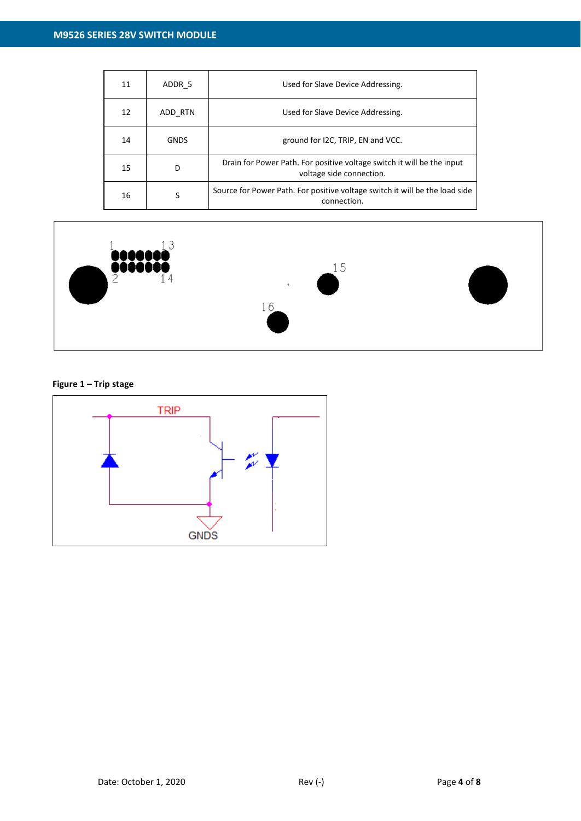| 11 | ADDR 5      | Used for Slave Device Addressing.                                                                  |  |  |  |  |
|----|-------------|----------------------------------------------------------------------------------------------------|--|--|--|--|
| 12 | ADD RTN     | Used for Slave Device Addressing.                                                                  |  |  |  |  |
| 14 | <b>GNDS</b> | ground for I2C, TRIP, EN and VCC.                                                                  |  |  |  |  |
| 15 | D           | Drain for Power Path. For positive voltage switch it will be the input<br>voltage side connection. |  |  |  |  |
| 16 | S           | Source for Power Path. For positive voltage switch it will be the load side<br>connection.         |  |  |  |  |



### **Figure 1 – Trip stage**

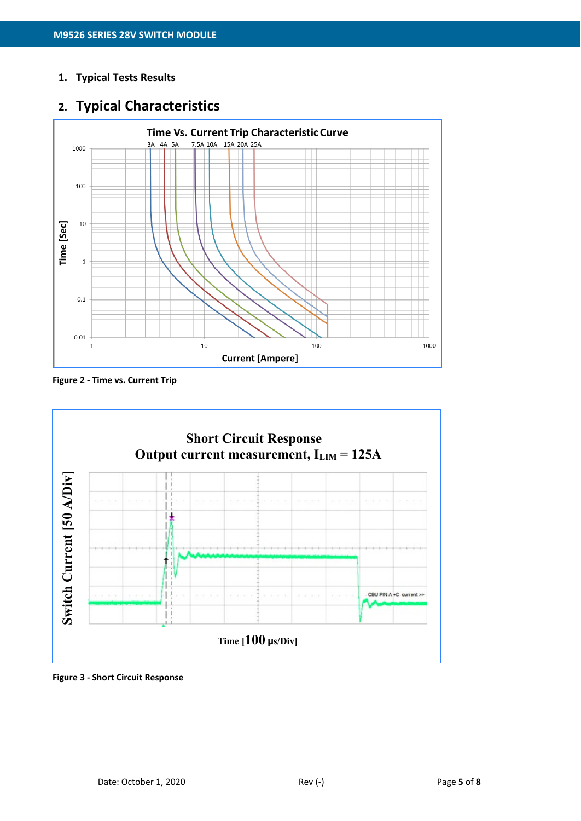### **1. Typical Tests Results**

# **2. Typical Characteristics**



**Figure 2 - Time vs. Current Trip**



**Figure 3 - Short Circuit Response**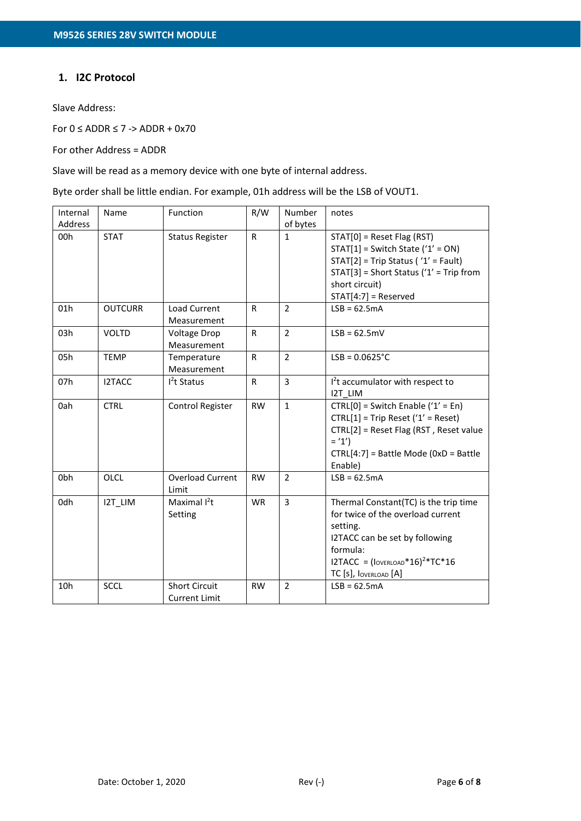### **1. I2C Protocol**

Slave Address:

For  $0 \leq$  ADDR  $\leq$  7 -> ADDR + 0x70

For other Address = ADDR

Slave will be read as a memory device with one byte of internal address.

Byte order shall be little endian. For example, 01h address will be the LSB of VOUT1.

| Internal<br>Address | Name           | Function                                     | R/W          | Number<br>of bytes | notes                                                                                                                                                                                                                                     |
|---------------------|----------------|----------------------------------------------|--------------|--------------------|-------------------------------------------------------------------------------------------------------------------------------------------------------------------------------------------------------------------------------------------|
| 00h                 | <b>STAT</b>    | <b>Status Register</b>                       | $\mathsf{R}$ | $\mathbf{1}$       | $STAT[0]$ = Reset Flag (RST)<br>$STAT[1]$ = Switch State ('1' = ON)<br>$STAT[2]$ = Trip Status ('1' = Fault)<br>$STAT[3] = Short Status ('1' = Trip from$<br>short circuit)<br>$STAT[4:7] = Reserved$                                     |
| 01h                 | <b>OUTCURR</b> | Load Current<br>Measurement                  | $\mathsf{R}$ | 2                  | $LSB = 62.5mA$                                                                                                                                                                                                                            |
| 03h                 | <b>VOLTD</b>   | <b>Voltage Drop</b><br>Measurement           | $\mathsf{R}$ | $\overline{2}$     | $LSB = 62.5mV$                                                                                                                                                                                                                            |
| 05h                 | <b>TEMP</b>    | Temperature<br>Measurement                   | $\mathsf{R}$ | $\overline{2}$     | $LSB = 0.0625^{\circ}C$                                                                                                                                                                                                                   |
| 07h                 | I2TACC         | $I2t$ Status                                 | $\mathsf{R}$ | 3                  | I <sup>2</sup> t accumulator with respect to<br>I2T LIM                                                                                                                                                                                   |
| 0ah                 | <b>CTRL</b>    | Control Register                             | <b>RW</b>    | $\mathbf{1}$       | $CTRL[0] = Switch Enable ('1' = En)$<br>$CTRL[1] = Trip$ Reset ('1' = Reset)<br>CTRL[2] = Reset Flag (RST, Reset value<br>$=$ '1')<br>CTRL[4:7] = Battle Mode (0xD = Battle<br>Enable)                                                    |
| 0bh                 | OLCL           | <b>Overload Current</b><br>Limit             | <b>RW</b>    | 2                  | $LSB = 62.5mA$                                                                                                                                                                                                                            |
| 0dh                 | I2T LIM        | Maximal $I^2t$<br>Setting                    | <b>WR</b>    | $\overline{3}$     | Thermal Constant(TC) is the trip time<br>for twice of the overload current<br>setting.<br>I2TACC can be set by following<br>formula:<br>I2TACC = $( {{\rm Iov} = {\rm RLOAD}}^* {\rm 16})^2*T{\rm C}^* {\rm 16}$<br>TC [s], IOVERLOAD [A] |
| 10h                 | <b>SCCL</b>    | <b>Short Circuit</b><br><b>Current Limit</b> | <b>RW</b>    | $\overline{2}$     | $LSB = 62.5mA$                                                                                                                                                                                                                            |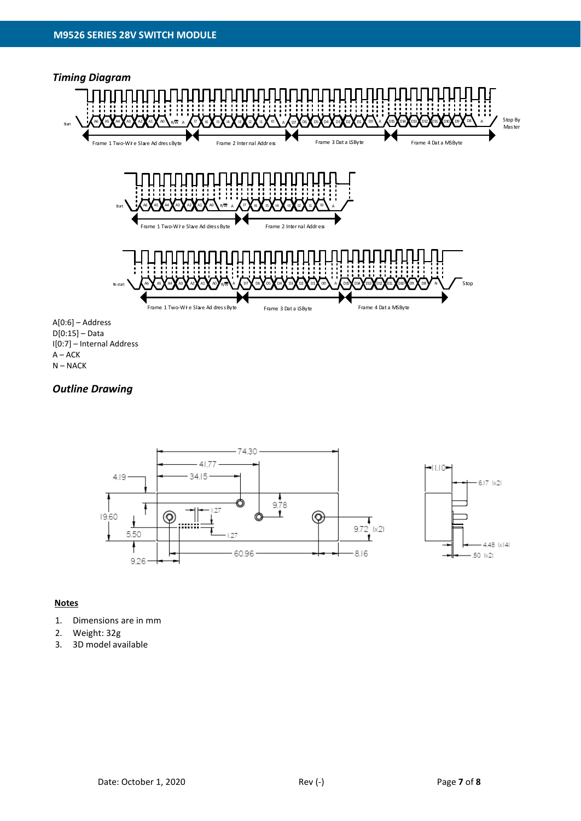

N – NACK

### *Outline Drawing*



### **Notes**

- 1. Dimensions are in mm
- 2. Weight: 32g
- 3. 3D model available